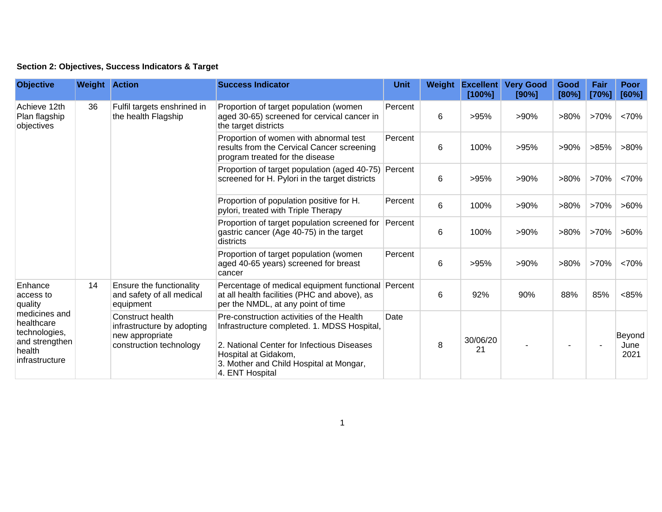## **Section 2: Objectives, Success Indicators & Target**

| <b>Objective</b>                                                                                                              | <b>Weight Action</b> |                                                                                                                                                                    | <b>Success Indicator</b>                                                                                                                                                                                                     | <b>Unit</b> | Weight | <b>Excellent</b><br>[100%] | <b>Very Good</b><br>[90%] | Good<br>[80%]  | Fair<br>[70%] | <b>Poor</b><br>[60%]   |
|-------------------------------------------------------------------------------------------------------------------------------|----------------------|--------------------------------------------------------------------------------------------------------------------------------------------------------------------|------------------------------------------------------------------------------------------------------------------------------------------------------------------------------------------------------------------------------|-------------|--------|----------------------------|---------------------------|----------------|---------------|------------------------|
| Achieve 12th<br>Plan flagship<br>objectives                                                                                   | 36                   | Fulfil targets enshrined in<br>the health Flagship                                                                                                                 | Proportion of target population (women<br>aged 30-65) screened for cervical cancer in<br>the target districts                                                                                                                | Percent     | 6      | >95%                       | $>90\%$                   | $>80\%$        | $>70\%$       | <70%                   |
|                                                                                                                               |                      |                                                                                                                                                                    | Proportion of women with abnormal test<br>results from the Cervical Cancer screening<br>program treated for the disease                                                                                                      | Percent     | 6      | 100%                       | >95%                      | $>90\%$        | >85%          | $>80\%$                |
|                                                                                                                               |                      |                                                                                                                                                                    | Proportion of target population (aged 40-75) Percent<br>screened for H. Pylori in the target districts                                                                                                                       |             | 6      | >95%                       | $>90\%$                   | $>80\%$        | $>70\%$       | <70%                   |
|                                                                                                                               |                      |                                                                                                                                                                    | Proportion of population positive for H.<br>pylori, treated with Triple Therapy                                                                                                                                              | Percent     | 6      | 100%                       | $>90\%$                   | $>80\%$        | $>70\%$       | $>60\%$                |
|                                                                                                                               |                      |                                                                                                                                                                    | Proportion of target population screened for<br>gastric cancer (Age 40-75) in the target<br>districts                                                                                                                        | Percent     | 6      | 100%                       | $>90\%$                   | $>80\%$        | >70%          | $>60\%$                |
|                                                                                                                               |                      |                                                                                                                                                                    | Proportion of target population (women<br>aged 40-65 years) screened for breast<br>cancer                                                                                                                                    | Percent     | 6      | >95%                       | $>90\%$                   | $>80\%$        | $>70\%$       | <70%                   |
| Enhance<br>access to<br>quality<br>medicines and<br>healthcare<br>technologies,<br>and strengthen<br>health<br>infrastructure | 14                   | Ensure the functionality<br>and safety of all medical<br>equipment<br>Construct health<br>infrastructure by adopting<br>new appropriate<br>construction technology | Percentage of medical equipment functional Percent<br>at all health facilities (PHC and above), as<br>per the NMDL, at any point of time                                                                                     |             | 6      | 92%                        | 90%                       | 88%            | 85%           | < 85%                  |
|                                                                                                                               |                      |                                                                                                                                                                    | Pre-construction activities of the Health<br>Infrastructure completed. 1. MDSS Hospital,<br>2. National Center for Infectious Diseases<br>Hospital at Gidakom,<br>3. Mother and Child Hospital at Mongar,<br>4. ENT Hospital | Date        | 8      | 30/06/20<br>21             |                           | $\blacksquare$ |               | Beyond<br>June<br>2021 |